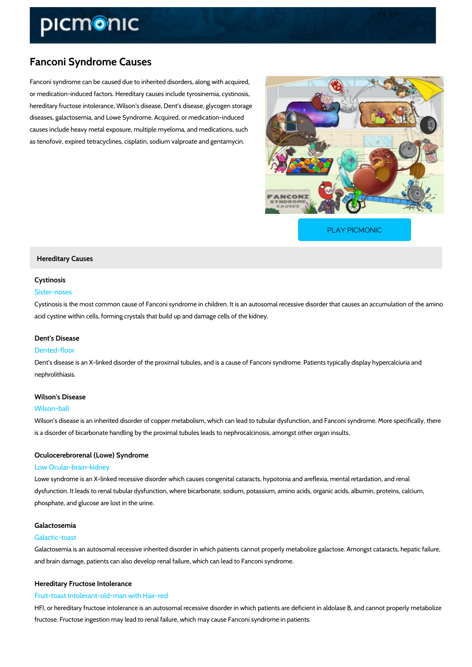# Fanconi Syndrome Causes

Fanconi syndrome can be caused due to inherited disorders, along with acquired, or medication-induced factors. Hereditary causes include tyrosinemia, cystinosis, hereditary fructose intolerance, Wilson's disease, Dent's disease, glycogen storage diseases, galactosemia, and Lowe Syndrome. Acquired, or medication-induced causes include heavy metal exposure, multiple myeloma, and medications, such as tenofovir, expired tetracyclines, cisplatin, sodium valproate and gentamycin.

[PLAY PICMONIC](https://www.picmonic.com/learn/fanconi-syndrome-causes_2534?utm_source=downloadable_content&utm_medium=distributedcontent&utm_campaign=pathways_pdf&utm_content=Fanconi Syndrome Causes&utm_ad_group=leads&utm_market=all)

## Hereditary Causes

## Cystinosis

## Sister-noses

Cystinosis is the most common cause of Fanconi syndrome in children. It is an autosomal rece acid cystine within cells, forming crystals that build up and damage cells of the kidney.

## Dent's Disease

#### Dented-floor

Dent s disease is an X-linked disorder of the proximal tubules, and is a cause of Fanconi synd nephrolithiasis.

## Wilson's Disease

#### Wilson-ball

Wilson s disease is an inherited disorder of copper metabolism, which can lead to tubular dys is a disorder of bicarbonate handling by the proximal tubules leads to nephrocalcinosis, amon

## Oculocerebrorenal (Lowe) Syndrome

## Low Ocular-brain-kidney

Lowe syndrome is an X-linked recessive disorder which causes congenital cataracts, hypotonia dysfunction. It leads to renal tubular dysfunction, where bicarbonate, sodium, potassium, ami phosphate, and glucose are lost in the urine.

## Galactosemia

## Galactic-toast

Galactosemia is an autosomal recessive inherited disorder in which patients cannot properly r and brain damage, patients can also develop renal failure, which can lead to Fanconi syndrom

## Hereditary Fructose Intolerance

## Fruit-toast Intolerant-old-man with Hair-red

HFI, or hereditary fructose intolerance is an autosomal recessive disorder in which patients a fructose. Fructose ingestion may lead to renal failure, which may cause Fanconi syndrome in